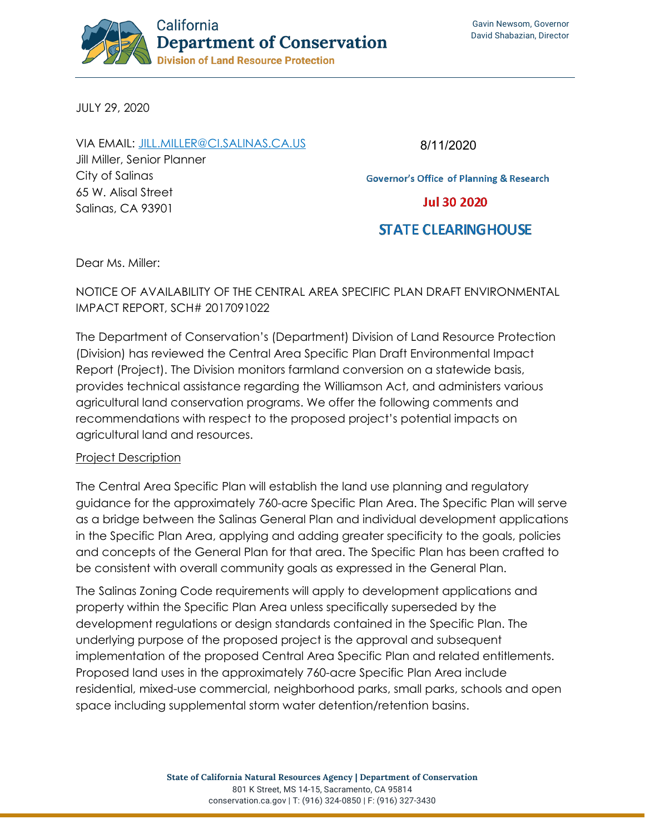

JULY 29, 2020

VIA EMAIL: [JILL.MILLER@CI.SALINAS.CA.US](mailto:jill.miller@ci.salinas.ca.us) Jill Miller, Senior Planner City of Salinas 65 W. Alisal Street Salinas, CA 93901

8/11/2020

**Governor's Office of Planning & Research** 

**Jul 30 2020** 

# **STATE CLEARING HOUSE**

Dear Ms. Miller:

NOTICE OF AVAILABILITY OF THE CENTRAL AREA SPECIFIC PLAN DRAFT ENVIRONMENTAL IMPACT REPORT, SCH# 2017091022

The Department of Conservation's (Department) Division of Land Resource Protection (Division) has reviewed the Central Area Specific Plan Draft Environmental Impact Report (Project). The Division monitors farmland conversion on a statewide basis, provides technical assistance regarding the Williamson Act, and administers various agricultural land conservation programs. We offer the following comments and recommendations with respect to the proposed project's potential impacts on agricultural land and resources.

#### Project Description

The Central Area Specific Plan will establish the land use planning and regulatory guidance for the approximately 760-acre Specific Plan Area. The Specific Plan will serve as a bridge between the Salinas General Plan and individual development applications in the Specific Plan Area, applying and adding greater specificity to the goals, policies and concepts of the General Plan for that area. The Specific Plan has been crafted to be consistent with overall community goals as expressed in the General Plan.

The Salinas Zoning Code requirements will apply to development applications and property within the Specific Plan Area unless specifically superseded by the development regulations or design standards contained in the Specific Plan. The underlying purpose of the proposed project is the approval and subsequent implementation of the proposed Central Area Specific Plan and related entitlements. Proposed land uses in the approximately 760-acre Specific Plan Area include residential, mixed-use commercial, neighborhood parks, small parks, schools and open space including supplemental storm water detention/retention basins.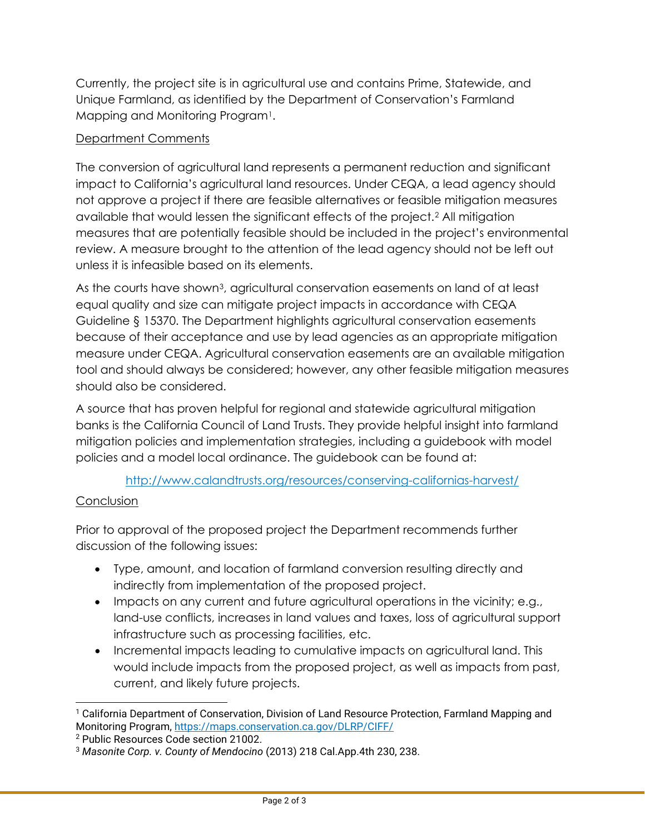Currently, the project site is in agricultural use and contains Prime, Statewide, and Unique Farmland, as identified by the Department of Conservation's Farmland Mapping and Monitoring Program[1.](#page-1-0)

# Department Comments

The conversion of agricultural land represents a permanent reduction and significant impact to California's agricultural land resources. Under CEQA, a lead agency should not approve a project if there are feasible alternatives or feasible mitigation measures available that would lessen the significant effects of the project.[2](#page-1-1) All mitigation measures that are potentially feasible should be included in the project's environmental review. A measure brought to the attention of the lead agency should not be left out unless it is infeasible based on its elements.

As the courts have shown<sup>3</sup>, agricultural conservation easements on land of at least equal quality and size can mitigate project impacts in accordance with CEQA Guideline § 15370. The Department highlights agricultural conservation easements because of their acceptance and use by lead agencies as an appropriate mitigation measure under CEQA. Agricultural conservation easements are an available mitigation tool and should always be considered; however, any other feasible mitigation measures should also be considered.

A source that has proven helpful for regional and statewide agricultural mitigation banks is the California Council of Land Trusts. They provide helpful insight into farmland mitigation policies and implementation strategies, including a guidebook with model policies and a model local ordinance. The guidebook can be found at:

## <http://www.calandtrusts.org/resources/conserving-californias-harvest/>

## **Conclusion**

Prior to approval of the proposed project the Department recommends further discussion of the following issues:

- Type, amount, and location of farmland conversion resulting directly and indirectly from implementation of the proposed project.
- Impacts on any current and future agricultural operations in the vicinity; e.g., land-use conflicts, increases in land values and taxes, loss of agricultural support infrastructure such as processing facilities, etc.
- Incremental impacts leading to cumulative impacts on agricultural land. This would include impacts from the proposed project, as well as impacts from past, current, and likely future projects.

<span id="page-1-0"></span><sup>1</sup> California Department of Conservation, Division of Land Resource Protection, Farmland Mapping and Monitoring Program,<https://maps.conservation.ca.gov/DLRP/CIFF/>

<span id="page-1-1"></span><sup>2</sup> Public Resources Code section 21002.

<span id="page-1-2"></span><sup>3</sup> *Masonite Corp. v. County of Mendocino* (2013) 218 Cal.App.4th 230, 238.